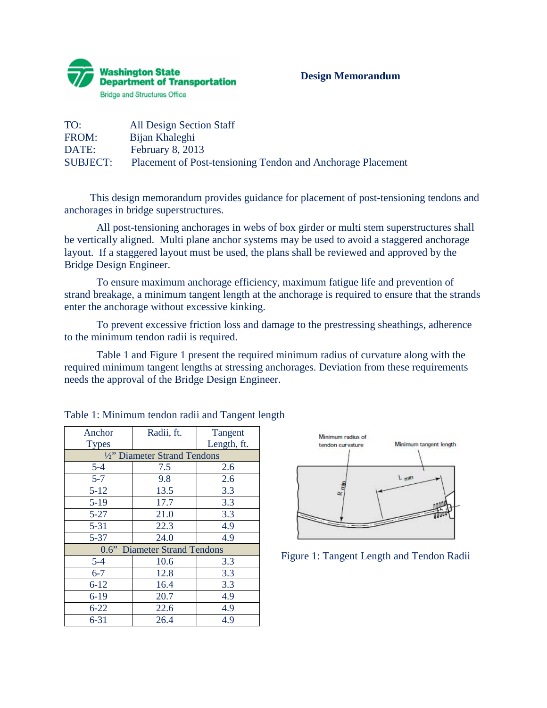

## **Design Memorandum**

| TO:             | <b>All Design Section Staff</b>                             |
|-----------------|-------------------------------------------------------------|
| FROM:           | Bijan Khaleghi                                              |
| DATE:           | February $8, 2013$                                          |
| <b>SUBJECT:</b> | Placement of Post-tensioning Tendon and Anchorage Placement |

This design memorandum provides guidance for placement of post-tensioning tendons and anchorages in bridge superstructures.

 All post-tensioning anchorages in webs of box girder or multi stem superstructures shall be vertically aligned. Multi plane anchor systems may be used to avoid a staggered anchorage layout. If a staggered layout must be used, the plans shall be reviewed and approved by the Bridge Design Engineer.

To ensure maximum anchorage efficiency, maximum fatigue life and prevention of strand breakage, a minimum tangent length at the anchorage is required to ensure that the strands enter the anchorage without excessive kinking.

To prevent excessive friction loss and damage to the prestressing sheathings, adherence to the minimum tendon radii is required.

Table 1 and Figure 1 present the required minimum radius of curvature along with the required minimum tangent lengths at stressing anchorages. Deviation from these requirements needs the approval of the Bridge Design Engineer.

| Anchor<br><b>Types</b>       | Radii, ft. | Tangent<br>Length, ft. |  |  |
|------------------------------|------------|------------------------|--|--|
| 1/2" Diameter Strand Tendons |            |                        |  |  |
| $5 - 4$                      | 7.5        | 2.6                    |  |  |
| $5 - 7$                      | 9.8        | 2.6                    |  |  |
| $5 - 12$                     | 13.5       | 3.3                    |  |  |
| $5-19$                       | 17.7       | 3.3                    |  |  |
| $5 - 27$                     | 21.0       | 3.3                    |  |  |
| $5 - 31$                     | 22.3       | 4.9                    |  |  |
| $5 - 37$                     | 24.0       | 4.9                    |  |  |
| 0.6" Diameter Strand Tendons |            |                        |  |  |
| $5 - 4$                      | 10.6       | 3.3                    |  |  |
| $6 - 7$                      | 12.8       | 3.3                    |  |  |
| $6 - 12$                     | 16.4       | 3.3                    |  |  |
| $6 - 19$                     | 20.7       | 4.9                    |  |  |
| $6 - 22$                     | 22.6       | 4.9                    |  |  |
| $6 - 31$                     | 26.4       | 4.9                    |  |  |

| Table 1: Minimum tendon radii and Tangent length |  |
|--------------------------------------------------|--|
|--------------------------------------------------|--|



Figure 1: Tangent Length and Tendon Radii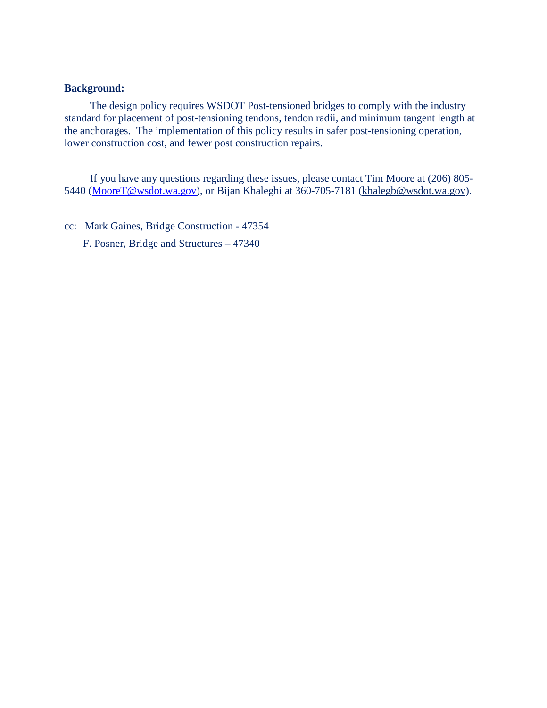## **Background:**

The design policy requires WSDOT Post-tensioned bridges to comply with the industry standard for placement of post-tensioning tendons, tendon radii, and minimum tangent length at the anchorages. The implementation of this policy results in safer post-tensioning operation, lower construction cost, and fewer post construction repairs.

If you have any questions regarding these issues, please contact Tim Moore at (206) 805- 5440 [\(MooreT@wsdot.wa.gov\)](mailto:MooreT@wsdot.wa.gov), or Bijan Khaleghi at 360-705-7181 [\(khalegb@wsdot.wa.gov\)](mailto:khalegb@wsdot.wa.gov).

cc: Mark Gaines, Bridge Construction - 47354

F. Posner, Bridge and Structures – 47340